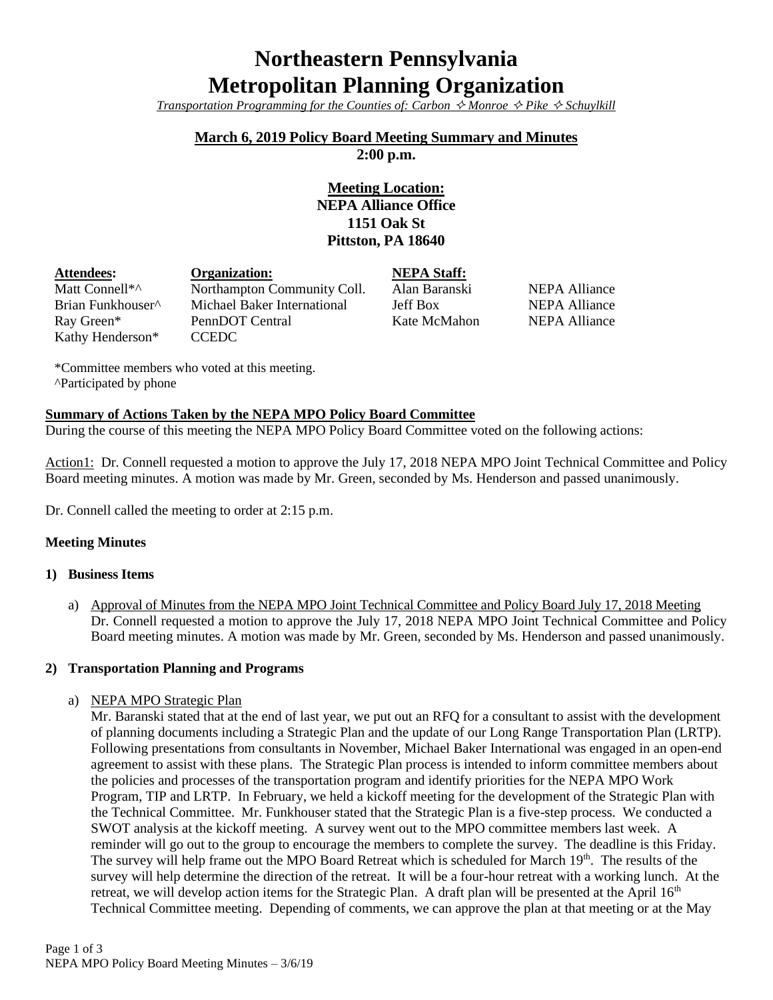# **Northeastern Pennsylvania Metropolitan Planning Organization**

*Transportation Programming for the Counties of: Carbon*  $\hat{\diamond}$  *Monroe*  $\hat{\diamond}$  *Pike*  $\hat{\diamond}$  *Schuylkill* 

## **March 6, 2019 Policy Board Meeting Summary and Minutes**

**2:00 p.m.**

# **Meeting Location: NEPA Alliance Office 1151 Oak St Pittston, PA 18640**

| <b>Attendees:</b>             | Organization:               | <b>NEPA Staff:</b> |               |
|-------------------------------|-----------------------------|--------------------|---------------|
| Matt Connell*^                | Northampton Community Coll. | Alan Baranski      | NEPA Alliance |
| Brian Funkhouser <sup>^</sup> | Michael Baker International | Jeff Box           | NEPA Alliance |
| Ray Green*                    | PennDOT Central             | Kate McMahon       | NEPA Alliance |
| Kathy Henderson*              | CCEDC                       |                    |               |

\*Committee members who voted at this meeting. ^Participated by phone

#### **Summary of Actions Taken by the NEPA MPO Policy Board Committee**

During the course of this meeting the NEPA MPO Policy Board Committee voted on the following actions:

Action1: Dr. Connell requested a motion to approve the July 17, 2018 NEPA MPO Joint Technical Committee and Policy Board meeting minutes. A motion was made by Mr. Green, seconded by Ms. Henderson and passed unanimously.

Dr. Connell called the meeting to order at 2:15 p.m.

#### **Meeting Minutes**

#### **1) Business Items**

a) Approval of Minutes from the NEPA MPO Joint Technical Committee and Policy Board July 17, 2018 Meeting Dr. Connell requested a motion to approve the July 17, 2018 NEPA MPO Joint Technical Committee and Policy Board meeting minutes. A motion was made by Mr. Green, seconded by Ms. Henderson and passed unanimously.

#### **2) Transportation Planning and Programs**

a) NEPA MPO Strategic Plan

Mr. Baranski stated that at the end of last year, we put out an RFQ for a consultant to assist with the development of planning documents including a Strategic Plan and the update of our Long Range Transportation Plan (LRTP). Following presentations from consultants in November, Michael Baker International was engaged in an open-end agreement to assist with these plans. The Strategic Plan process is intended to inform committee members about the policies and processes of the transportation program and identify priorities for the NEPA MPO Work Program, TIP and LRTP. In February, we held a kickoff meeting for the development of the Strategic Plan with the Technical Committee. Mr. Funkhouser stated that the Strategic Plan is a five-step process. We conducted a SWOT analysis at the kickoff meeting. A survey went out to the MPO committee members last week. A reminder will go out to the group to encourage the members to complete the survey. The deadline is this Friday. The survey will help frame out the MPO Board Retreat which is scheduled for March 19<sup>th</sup>. The results of the survey will help determine the direction of the retreat. It will be a four-hour retreat with a working lunch. At the retreat, we will develop action items for the Strategic Plan. A draft plan will be presented at the April 16<sup>th</sup> Technical Committee meeting. Depending of comments, we can approve the plan at that meeting or at the May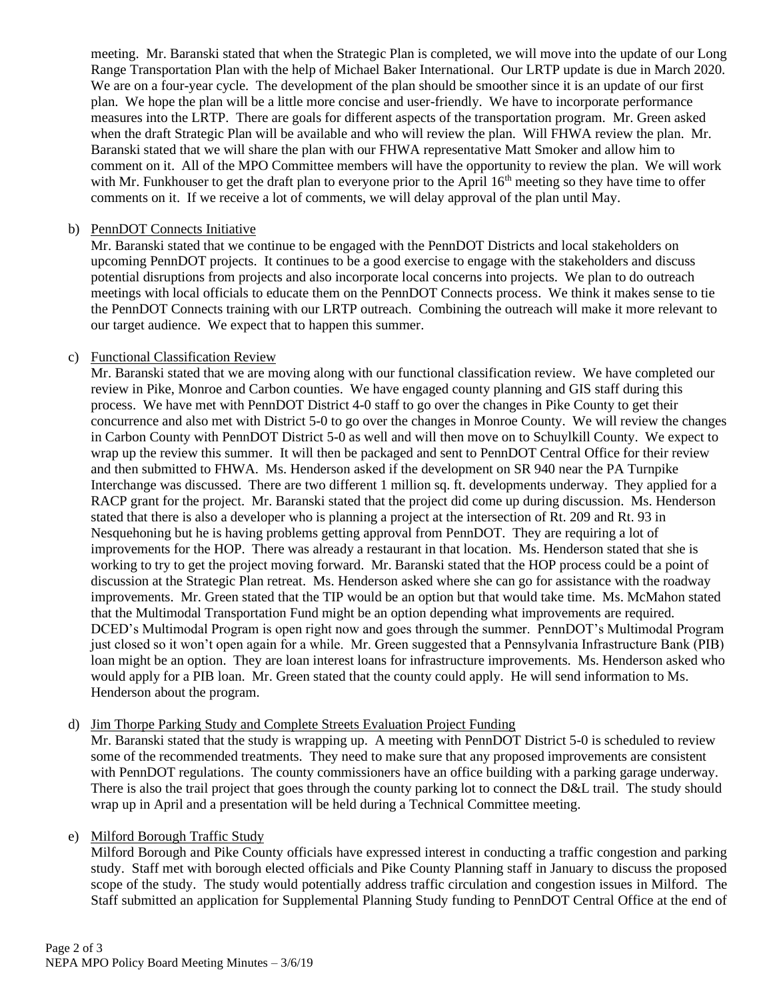meeting. Mr. Baranski stated that when the Strategic Plan is completed, we will move into the update of our Long Range Transportation Plan with the help of Michael Baker International. Our LRTP update is due in March 2020. We are on a four-year cycle. The development of the plan should be smoother since it is an update of our first plan. We hope the plan will be a little more concise and user-friendly. We have to incorporate performance measures into the LRTP. There are goals for different aspects of the transportation program. Mr. Green asked when the draft Strategic Plan will be available and who will review the plan. Will FHWA review the plan. Mr. Baranski stated that we will share the plan with our FHWA representative Matt Smoker and allow him to comment on it. All of the MPO Committee members will have the opportunity to review the plan. We will work with Mr. Funkhouser to get the draft plan to everyone prior to the April 16<sup>th</sup> meeting so they have time to offer comments on it. If we receive a lot of comments, we will delay approval of the plan until May.

#### b) PennDOT Connects Initiative

Mr. Baranski stated that we continue to be engaged with the PennDOT Districts and local stakeholders on upcoming PennDOT projects. It continues to be a good exercise to engage with the stakeholders and discuss potential disruptions from projects and also incorporate local concerns into projects. We plan to do outreach meetings with local officials to educate them on the PennDOT Connects process. We think it makes sense to tie the PennDOT Connects training with our LRTP outreach. Combining the outreach will make it more relevant to our target audience. We expect that to happen this summer.

#### c) Functional Classification Review

Mr. Baranski stated that we are moving along with our functional classification review. We have completed our review in Pike, Monroe and Carbon counties. We have engaged county planning and GIS staff during this process. We have met with PennDOT District 4-0 staff to go over the changes in Pike County to get their concurrence and also met with District 5-0 to go over the changes in Monroe County. We will review the changes in Carbon County with PennDOT District 5-0 as well and will then move on to Schuylkill County. We expect to wrap up the review this summer. It will then be packaged and sent to PennDOT Central Office for their review and then submitted to FHWA. Ms. Henderson asked if the development on SR 940 near the PA Turnpike Interchange was discussed. There are two different 1 million sq. ft. developments underway. They applied for a RACP grant for the project. Mr. Baranski stated that the project did come up during discussion. Ms. Henderson stated that there is also a developer who is planning a project at the intersection of Rt. 209 and Rt. 93 in Nesquehoning but he is having problems getting approval from PennDOT. They are requiring a lot of improvements for the HOP. There was already a restaurant in that location. Ms. Henderson stated that she is working to try to get the project moving forward. Mr. Baranski stated that the HOP process could be a point of discussion at the Strategic Plan retreat. Ms. Henderson asked where she can go for assistance with the roadway improvements. Mr. Green stated that the TIP would be an option but that would take time. Ms. McMahon stated that the Multimodal Transportation Fund might be an option depending what improvements are required. DCED's Multimodal Program is open right now and goes through the summer. PennDOT's Multimodal Program just closed so it won't open again for a while. Mr. Green suggested that a Pennsylvania Infrastructure Bank (PIB) loan might be an option. They are loan interest loans for infrastructure improvements. Ms. Henderson asked who would apply for a PIB loan. Mr. Green stated that the county could apply. He will send information to Ms. Henderson about the program.

#### d) Jim Thorpe Parking Study and Complete Streets Evaluation Project Funding

Mr. Baranski stated that the study is wrapping up. A meeting with PennDOT District 5-0 is scheduled to review some of the recommended treatments. They need to make sure that any proposed improvements are consistent with PennDOT regulations. The county commissioners have an office building with a parking garage underway. There is also the trail project that goes through the county parking lot to connect the D&L trail. The study should wrap up in April and a presentation will be held during a Technical Committee meeting.

### e) Milford Borough Traffic Study

Milford Borough and Pike County officials have expressed interest in conducting a traffic congestion and parking study. Staff met with borough elected officials and Pike County Planning staff in January to discuss the proposed scope of the study. The study would potentially address traffic circulation and congestion issues in Milford. The Staff submitted an application for Supplemental Planning Study funding to PennDOT Central Office at the end of